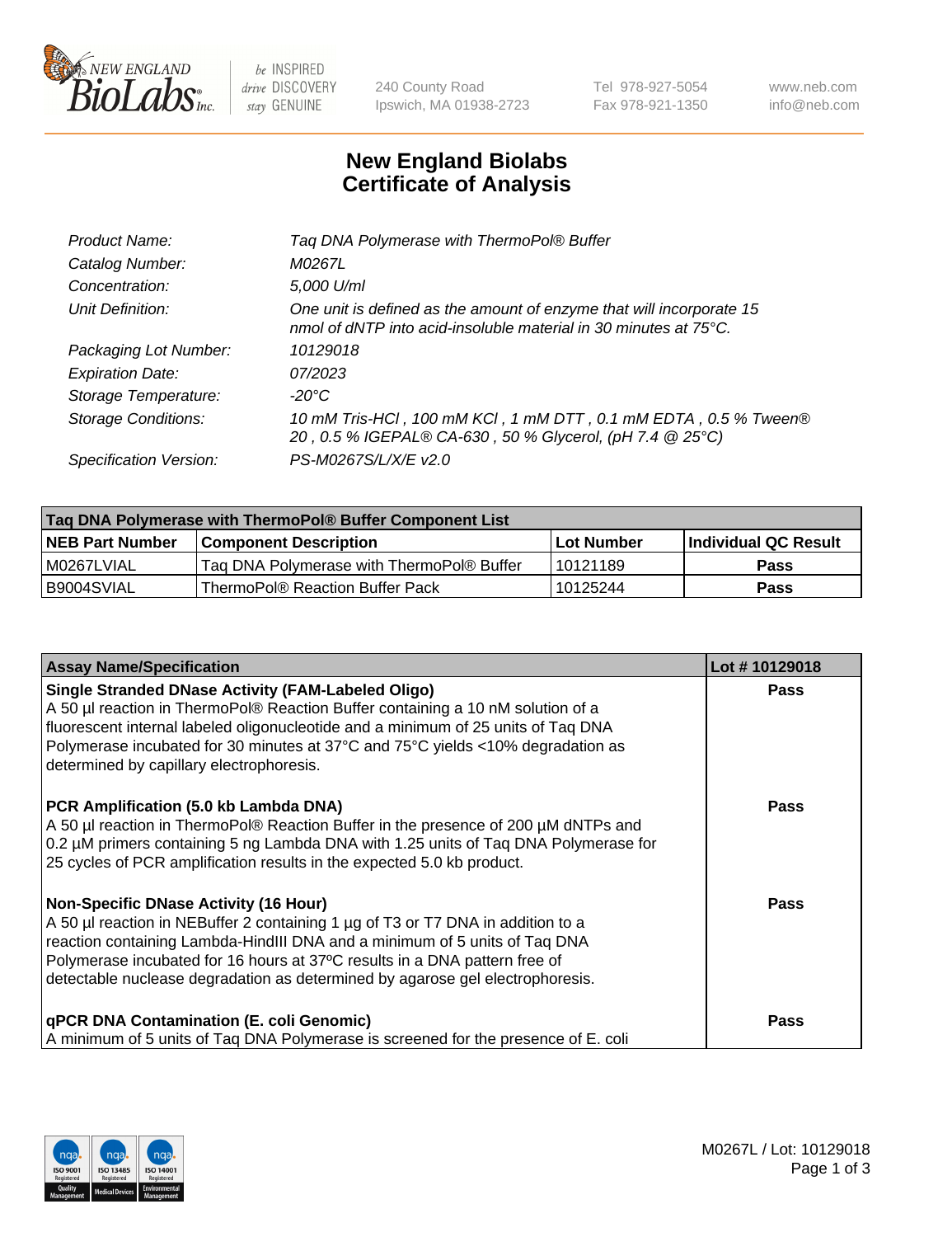

 $be$  INSPIRED drive DISCOVERY stay GENUINE

240 County Road Ipswich, MA 01938-2723 Tel 978-927-5054 Fax 978-921-1350 www.neb.com info@neb.com

## **New England Biolabs Certificate of Analysis**

| Tag DNA Polymerase with ThermoPol® Buffer                                                                                                |
|------------------------------------------------------------------------------------------------------------------------------------------|
| M0267L                                                                                                                                   |
| 5,000 U/ml                                                                                                                               |
| One unit is defined as the amount of enzyme that will incorporate 15<br>nmol of dNTP into acid-insoluble material in 30 minutes at 75°C. |
| 10129018                                                                                                                                 |
| 07/2023                                                                                                                                  |
| $-20^{\circ}$ C                                                                                                                          |
| 10 mM Tris-HCl, 100 mM KCl, 1 mM DTT, 0.1 mM EDTA, 0.5 % Tween®<br>20, 0.5 % IGEPAL® CA-630, 50 % Glycerol, (pH 7.4 @ 25°C)              |
| PS-M0267S/L/X/E v2.0                                                                                                                     |
|                                                                                                                                          |

| Taq DNA Polymerase with ThermoPol® Buffer Component List |                                           |                   |                      |  |  |
|----------------------------------------------------------|-------------------------------------------|-------------------|----------------------|--|--|
| <b>NEB Part Number</b>                                   | Component Description_                    | <b>Lot Number</b> | Individual QC Result |  |  |
| I M0267LVIAL                                             | Tag DNA Polymerase with ThermoPol® Buffer | l 10121189        | Pass                 |  |  |
| B9004SVIAL                                               | ThermoPol® Reaction Buffer Pack           | 10125244          | Pass                 |  |  |

| <b>Assay Name/Specification</b>                                                                                                                                                                                                                                                                                                                                              | Lot #10129018 |
|------------------------------------------------------------------------------------------------------------------------------------------------------------------------------------------------------------------------------------------------------------------------------------------------------------------------------------------------------------------------------|---------------|
| <b>Single Stranded DNase Activity (FAM-Labeled Oligo)</b><br>A 50 µl reaction in ThermoPol® Reaction Buffer containing a 10 nM solution of a<br>fluorescent internal labeled oligonucleotide and a minimum of 25 units of Taq DNA<br>Polymerase incubated for 30 minutes at 37°C and 75°C yields <10% degradation as<br>determined by capillary electrophoresis.             | <b>Pass</b>   |
| PCR Amplification (5.0 kb Lambda DNA)<br>A 50 µl reaction in ThermoPol® Reaction Buffer in the presence of 200 µM dNTPs and<br>0.2 µM primers containing 5 ng Lambda DNA with 1.25 units of Tag DNA Polymerase for<br>25 cycles of PCR amplification results in the expected 5.0 kb product.                                                                                 | Pass          |
| <b>Non-Specific DNase Activity (16 Hour)</b><br>A 50 µl reaction in NEBuffer 2 containing 1 µg of T3 or T7 DNA in addition to a<br>reaction containing Lambda-HindIII DNA and a minimum of 5 units of Taq DNA<br>Polymerase incubated for 16 hours at 37°C results in a DNA pattern free of<br>detectable nuclease degradation as determined by agarose gel electrophoresis. | <b>Pass</b>   |
| <b>qPCR DNA Contamination (E. coli Genomic)</b><br>A minimum of 5 units of Taq DNA Polymerase is screened for the presence of E. coli                                                                                                                                                                                                                                        | Pass          |

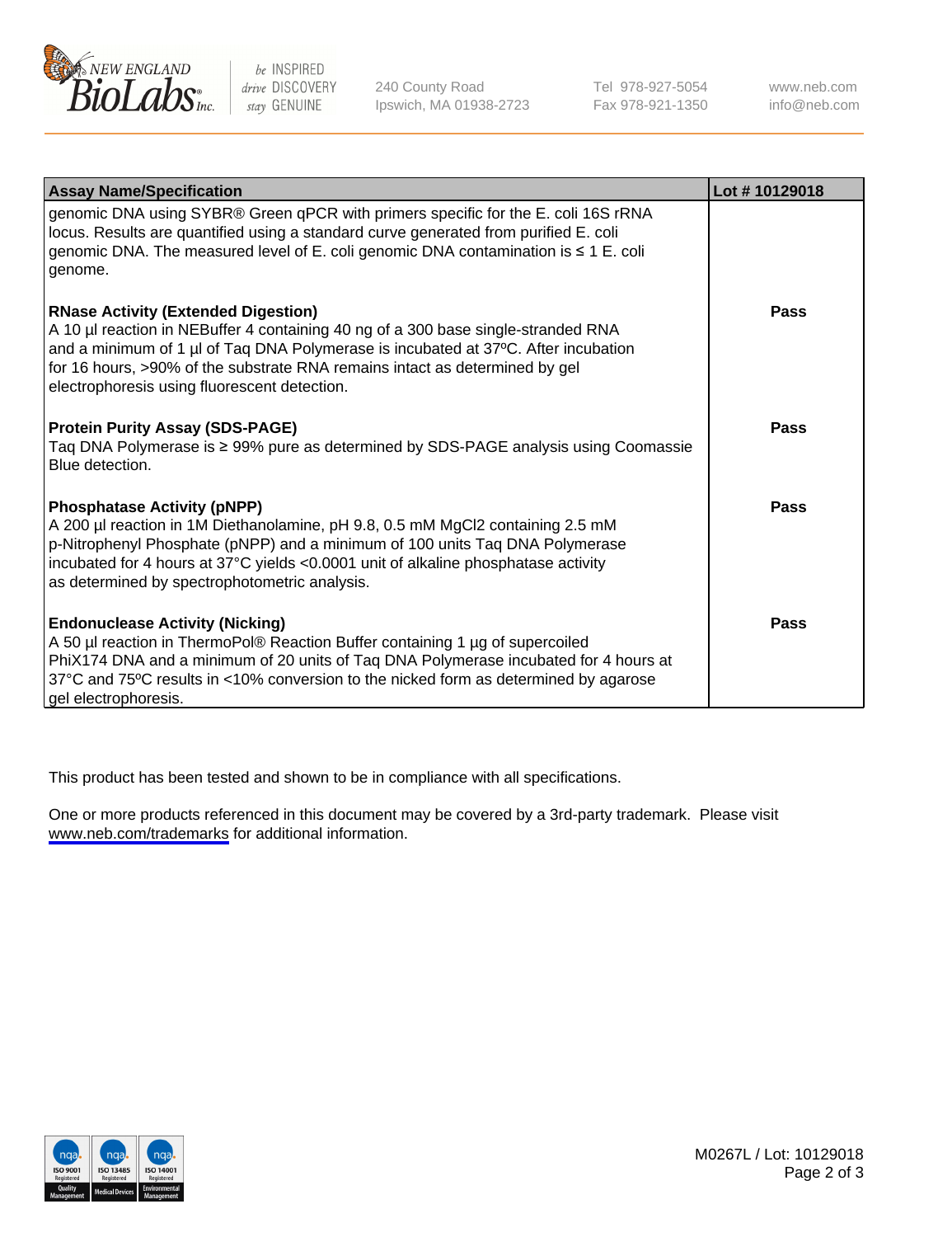

be INSPIRED drive DISCOVERY stay GENUINE

240 County Road Ipswich, MA 01938-2723 Tel 978-927-5054 Fax 978-921-1350

www.neb.com info@neb.com

| <b>Assay Name/Specification</b>                                                                                                                                                                                                                                                                                                                      | Lot #10129018 |
|------------------------------------------------------------------------------------------------------------------------------------------------------------------------------------------------------------------------------------------------------------------------------------------------------------------------------------------------------|---------------|
| genomic DNA using SYBR® Green qPCR with primers specific for the E. coli 16S rRNA<br>locus. Results are quantified using a standard curve generated from purified E. coli<br>genomic DNA. The measured level of E. coli genomic DNA contamination is ≤ 1 E. coli<br>genome.                                                                          |               |
| <b>RNase Activity (Extended Digestion)</b><br>A 10 µl reaction in NEBuffer 4 containing 40 ng of a 300 base single-stranded RNA<br>and a minimum of 1 µl of Taq DNA Polymerase is incubated at 37°C. After incubation<br>for 16 hours, >90% of the substrate RNA remains intact as determined by gel<br>electrophoresis using fluorescent detection. | Pass          |
| <b>Protein Purity Assay (SDS-PAGE)</b><br>Taq DNA Polymerase is ≥ 99% pure as determined by SDS-PAGE analysis using Coomassie<br>Blue detection.                                                                                                                                                                                                     | Pass          |
| <b>Phosphatase Activity (pNPP)</b><br>A 200 µl reaction in 1M Diethanolamine, pH 9.8, 0.5 mM MgCl2 containing 2.5 mM<br>p-Nitrophenyl Phosphate (pNPP) and a minimum of 100 units Taq DNA Polymerase<br>incubated for 4 hours at 37°C yields <0.0001 unit of alkaline phosphatase activity<br>as determined by spectrophotometric analysis.          | Pass          |
| <b>Endonuclease Activity (Nicking)</b><br>A 50 µl reaction in ThermoPol® Reaction Buffer containing 1 µg of supercoiled<br>PhiX174 DNA and a minimum of 20 units of Taq DNA Polymerase incubated for 4 hours at<br>37°C and 75°C results in <10% conversion to the nicked form as determined by agarose<br>gel electrophoresis.                      | Pass          |

This product has been tested and shown to be in compliance with all specifications.

One or more products referenced in this document may be covered by a 3rd-party trademark. Please visit <www.neb.com/trademarks>for additional information.